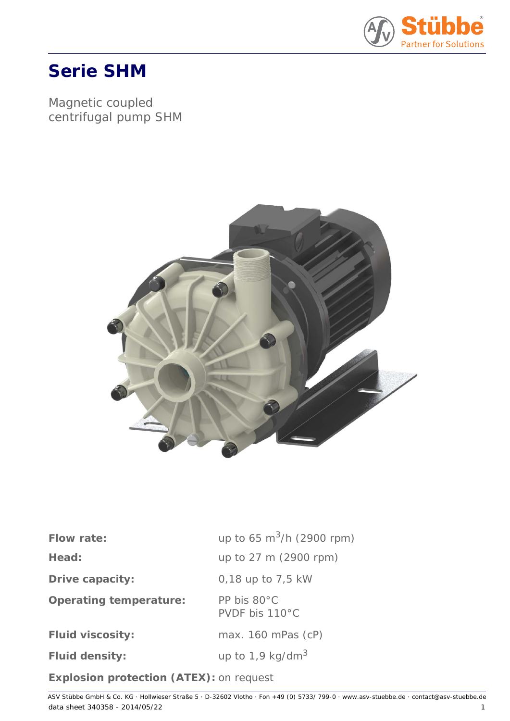

# **Serie SHM**

Magnetic coupled centrifugal pump SHM



| <b>Flow rate:</b>                              | up to 65 $\rm m^3/h$ (2900 rpm)         |
|------------------------------------------------|-----------------------------------------|
| Head:                                          | up to 27 m (2900 rpm)                   |
| <b>Drive capacity:</b>                         | $0,18$ up to 7,5 kW                     |
| <b>Operating temperature:</b>                  | PP bis $80^{\circ}$ C<br>PVDF bis 110°C |
| <b>Fluid viscosity:</b>                        | max. $160$ mPas $(cP)$                  |
| <b>Fluid density:</b>                          | up to 1,9 kg/dm <sup>3</sup>            |
| <b>Explosion protection (ATEX): on request</b> |                                         |

data sheet 340358 - 2014/05/22 1 ASV Stübbe GmbH & Co. KG · Hollwieser Straße 5 · D-32602 Vlotho · Fon +49 (0) 5733/ 799-0 · www.asv-stuebbe.de · contact@asv-stuebbe.de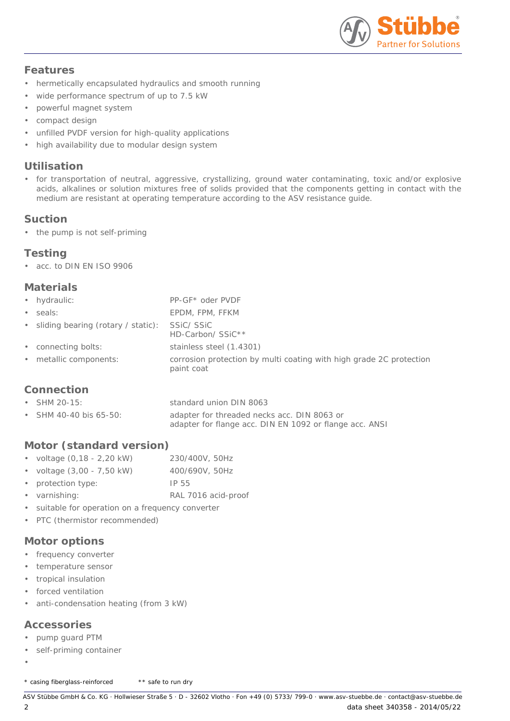

#### **Features**

- hermetically encapsulated hydraulics and smooth running
- wide performance spectrum of up to 7.5 kW
- powerful magnet system
- compact design
- unfilled PVDF version for high-quality applications
- high availability due to modular design system

#### **Utilisation**

• for transportation of neutral, aggressive, crystallizing, ground water contaminating, toxic and/or explosive acids, alkalines or solution mixtures free of solids provided that the components getting in contact with the medium are resistant at operating temperature according to the ASV resistance guide.

#### **Suction**

• the pump is not self-priming

#### **Testing**

• acc. to DIN EN ISO 9906

#### **Materials**

| • hydraulic:                         | PP-GF* oder PVDF                                                                  |
|--------------------------------------|-----------------------------------------------------------------------------------|
| seals:                               | EPDM, FPM, FFKM                                                                   |
| • sliding bearing (rotary / static): | SSiC/SSiC<br>HD-Carbon/ SSiC <sup>**</sup>                                        |
| • connecting bolts:                  | stainless steel (1.4301)                                                          |
| • metallic components:               | corrosion protection by multi coating with high grade 2C protection<br>paint coat |

## **Connection**

| • SHM 20-15:           | standard union DIN 8063                                 |
|------------------------|---------------------------------------------------------|
| • SHM 40-40 bis 65-50; | adapter for threaded necks acc. DIN 8063 or             |
|                        | adapter for flange acc. DIN EN 1092 or flange acc. ANSI |

## **Motor (standard version)**

| • voltage $(0, 18 - 2, 20 \text{ kW})$ | 230/400V, 50Hz      |
|----------------------------------------|---------------------|
| • voltage $(3,00 - 7,50 \text{ kW})$   | 400/690V, 50Hz      |
| • protection type:                     | IP 55               |
| • varnishing:                          | RAL 7016 acid-proof |

- suitable for operation on a frequency converter
- PTC (thermistor recommended)

#### **Motor options**

- frequency converter
- temperature sensor
- tropical insulation
- forced ventilation
- anti-condensation heating (from 3 kW)

# **Accessories**

- pump guard PTM
- self-priming container
- •

\* casing fiberglass-reinforced \*\* safe to run dry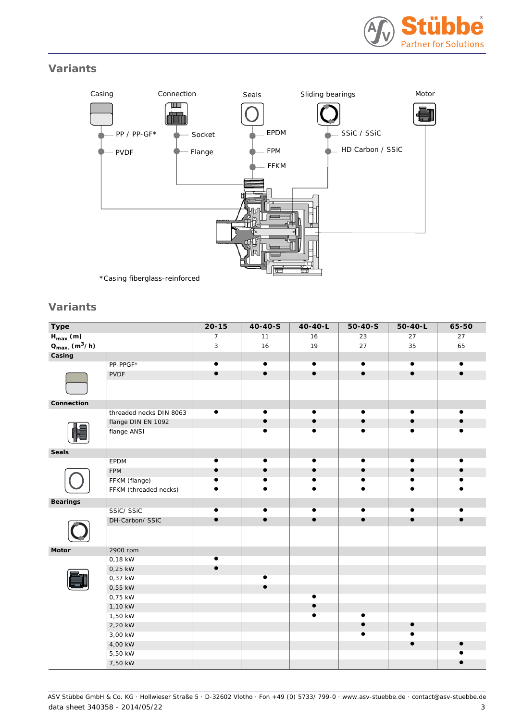

## **Variants**



## **Variants**

| <b>Type</b>                                     |                         | $20 - 15$      | $40 - 40 - S$ | $40 - 40 - L$ | $50 - 40 - S$ | $50 - 40 - L$ | $65 - 50$ |
|-------------------------------------------------|-------------------------|----------------|---------------|---------------|---------------|---------------|-----------|
| $H_{\text{max}}$ (m)                            |                         | $\overline{7}$ | 11            | 16            | 23            | 27            | 27        |
| $Q_{\text{max.}}$ (m <sup>3</sup> /h)           |                         | 3              | 16            | 19            | 27            | 35            | 65        |
| Casing                                          |                         |                |               |               |               |               |           |
|                                                 | PP-PPGF*                | $\bullet$      | $\bullet$     | $\bullet$     |               |               |           |
|                                                 | <b>PVDF</b>             |                | $\bullet$     |               |               |               |           |
|                                                 |                         |                |               |               |               |               |           |
|                                                 |                         |                |               |               |               |               |           |
|                                                 |                         |                |               |               |               |               |           |
|                                                 | threaded necks DIN 8063 | $\bullet$      | $\bullet$     | $\bullet$     |               |               |           |
|                                                 | flange DIN EN 1092      |                | $\bullet$     | $\bullet$     |               |               |           |
| Connection<br><b>Seals</b><br>Bearings<br>Motor | flange ANSI             |                |               |               |               |               |           |
|                                                 |                         |                |               |               |               |               |           |
|                                                 |                         |                |               |               |               |               |           |
|                                                 | EPDM                    | $\bullet$      | $\bullet$     | $\bullet$     | $\bullet$     | $\bullet$     |           |
|                                                 | FPM                     |                | $\bullet$     |               |               |               |           |
|                                                 | FFKM (flange)           |                |               |               |               |               |           |
|                                                 | FFKM (threaded necks)   |                |               |               |               |               |           |
|                                                 |                         |                |               |               |               |               |           |
|                                                 | SSiC/SSiC               | $\bullet$      | $\bullet$     | $\bullet$     | $\bullet$     | $\bullet$     |           |
|                                                 | DH-Carbon/ SSiC         | $\bullet$      | $\bullet$     | $\bullet$     | $\bullet$     | $\bullet$     |           |
|                                                 |                         |                |               |               |               |               |           |
|                                                 |                         |                |               |               |               |               |           |
|                                                 | 2900 rpm                |                |               |               |               |               |           |
|                                                 | 0,18 kW                 | $\bullet$      |               |               |               |               |           |
|                                                 | 0,25 kW                 |                |               |               |               |               |           |
|                                                 | 0,37 kW                 |                |               |               |               |               |           |
|                                                 | 0,55 kW                 |                |               |               |               |               |           |
|                                                 | 0,75 kW                 |                |               | $\bullet$     |               |               |           |
|                                                 | 1,10 kW                 |                |               |               |               |               |           |
|                                                 | 1,50 kW                 |                |               |               |               |               |           |
|                                                 | 2,20 kW                 |                |               |               |               |               |           |
|                                                 | 3,00 kW                 |                |               |               |               |               |           |
|                                                 | 4,00 kW                 |                |               |               |               |               |           |
|                                                 | 5,50 kW                 |                |               |               |               |               |           |
|                                                 | 7,50 kW                 |                |               |               |               |               |           |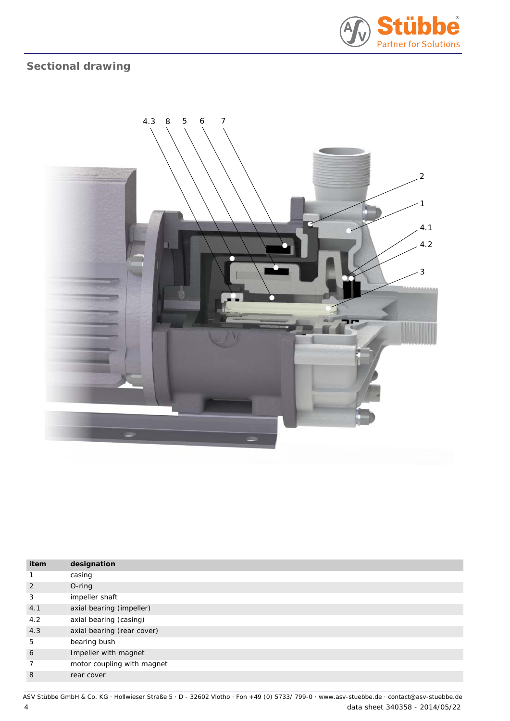

# **Sectional drawing**



| item           | designation                |
|----------------|----------------------------|
| $\mathbf{1}$   | casing                     |
| 2              | $O$ -ring                  |
| 3              | impeller shaft             |
| 4.1            | axial bearing (impeller)   |
| 4.2            | axial bearing (casing)     |
| 4.3            | axial bearing (rear cover) |
| 5              | bearing bush               |
| 6              | Impeller with magnet       |
| $\overline{7}$ | motor coupling with magnet |
| 8              | rear cover                 |

4 data sheet 340358 - 2014/05/22 ASV Stübbe GmbH & Co. KG · Hollwieser Straße 5 · D - 32602 Vlotho · Fon +49 (0) 5733/ 799-0 · www.asv-stuebbe.de · contact@asv-stuebbe.de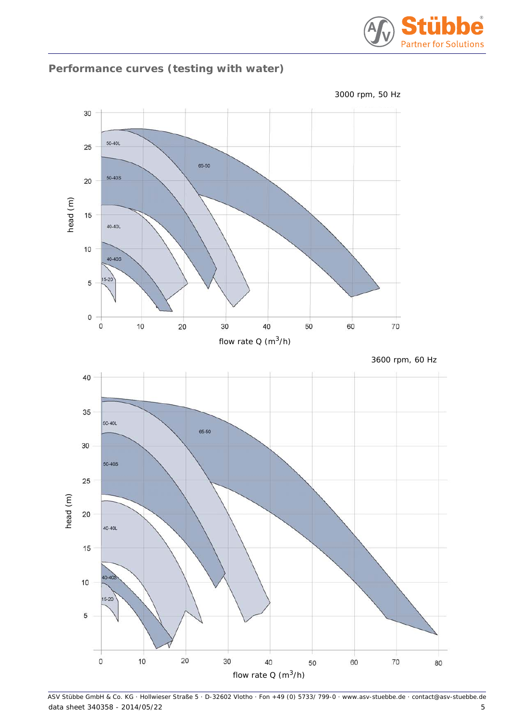

## **Performance curves (testing with water)**

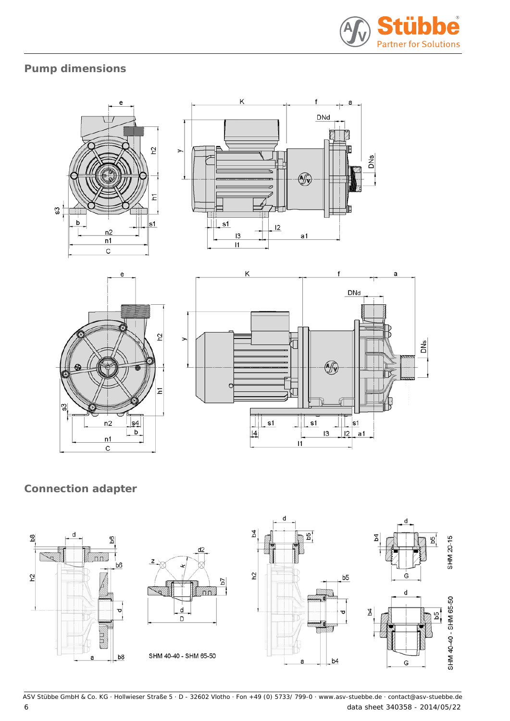

## **Pump dimensions**



# **Connection adapter**



6 data sheet 340358 - 2014/05/22 ASV Stübbe GmbH & Co. KG · Hollwieser Straße 5 · D - 32602 Vlotho · Fon +49 (0) 5733/ 799-0 · www.asv-stuebbe.de · contact@asv-stuebbe.de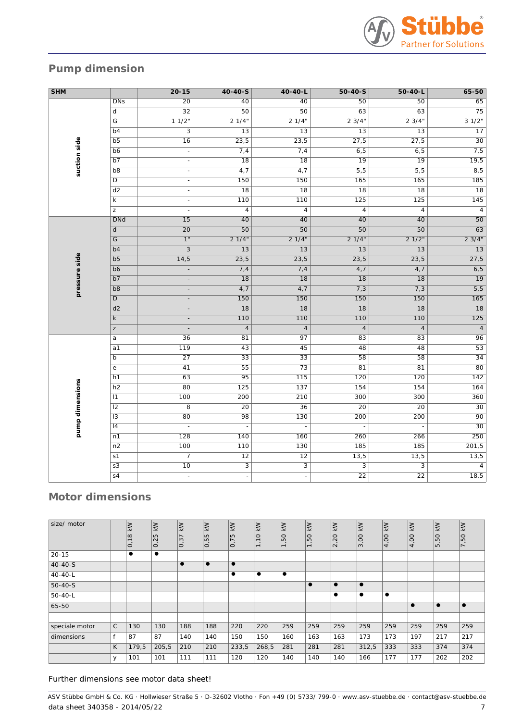

## **Pump dimension**

| <b>SHM</b>      |                 | $20 - 15$                | $40 - 40 - S$                | 40-40-L                      | $50 - 40 - S$    | 50-40-L             | 65-50            |
|-----------------|-----------------|--------------------------|------------------------------|------------------------------|------------------|---------------------|------------------|
|                 | <b>DNs</b>      | 20                       | 40                           | 40                           | 50               | 50                  | 65               |
|                 | d               | 32                       | 50                           | 50                           | 63               | 63                  | $\overline{75}$  |
|                 | G               | 11/2"                    | 21/4"                        | 21/4"                        | 23/4"            | 23/4"               | 31/2"            |
|                 | b4              | 3                        | 13                           | 13                           | 13               | 13                  | 17               |
| suction side    | b <sub>5</sub>  | 16                       | 23,5                         | 23,5                         | 27,5             | 27,5                | 30               |
|                 | b6              | $\overline{a}$           | 7,4                          | 7,4                          | 6, 5             | 6, 5                | 7,5              |
|                 | b7              | $\overline{a}$           | 18                           | 18                           | 19               | 19                  | 19,5             |
|                 | b8              | $\overline{\phantom{a}}$ | $\overline{4,7}$             | $\overline{4,7}$             | $\overline{5,5}$ | $\overline{5,5}$    | 8,5              |
|                 | D               | $\overline{a}$           | 150                          | 150                          | 165              | 165                 | 185              |
|                 | d2              |                          | 18                           | 18                           | 18               | 18                  | $\overline{18}$  |
|                 | k               | $\overline{\phantom{a}}$ | 110                          | 110                          | 125              | 125                 | 145              |
|                 | $\mathsf Z$     | $\overline{\phantom{a}}$ | $\overline{4}$               | $\overline{4}$               | $\overline{4}$   | $\overline{4}$      | $\overline{4}$   |
|                 | <b>DNd</b>      | 15                       | 40                           | 40                           | 40               | 40                  | 50               |
|                 | ${\sf d}$       | $\overline{20}$          | 50                           | 50                           | 50               | 50                  | 63               |
|                 | G               | 1"                       | 21/4"                        | 21/4"                        | 21/4"            | 21/2"               | 23/4"            |
|                 | b4              | 3                        | 13                           | 13                           | 13               | 13                  | 13               |
|                 | b <sub>5</sub>  | 14,5                     | 23,5                         | 23,5                         | 23,5             | 23,5                | 27,5             |
|                 | b <sub>6</sub>  |                          | 7,4                          | 7,4                          | 4,7              | 4,7                 | 6,5              |
|                 | b7              | $\overline{a}$           | $\overline{18}$              | $\overline{18}$              | 18               | 18                  | $\overline{19}$  |
| pressure side   | b <sub>8</sub>  |                          | 4,7                          | 4,7                          | 7,3              | 7,3                 | $\overline{5,5}$ |
|                 | D               |                          | 150                          | 150                          | 150              | 150                 | 165              |
|                 | d2              |                          | $\overline{18}$              | $\overline{18}$              | 18               | 18                  | $\overline{18}$  |
|                 | $\sf k$         |                          | 110                          | 110                          | 110              | 110                 | $\overline{125}$ |
|                 | Z               |                          | $\sqrt{4}$                   | $\sqrt{4}$                   | $\overline{4}$   | $\overline{4}$      | $\sqrt{4}$       |
|                 | a               | 36                       | 81                           | 97                           | 83               | 83                  | 96               |
|                 | a1              | 119                      | 43                           | 45                           | 48               | 48                  | 53               |
|                 | b               | $\overline{27}$          | $\overline{33}$              | 33                           | 58               | 58                  | 34               |
|                 | e               | 41                       | 55                           | 73                           | 81               | 81                  | 80               |
|                 | h1              | 63                       | 95                           | 115                          | 120              | 120                 | 142              |
|                 | h2              | 80                       | 125                          | 137                          | 154              | 154                 | 164              |
|                 | 1               | 100                      | 200                          | 210                          | 300              | 300                 | 360              |
|                 | $\overline{12}$ | $\overline{8}$           | 20                           | 36                           | 20               | 20                  | 30               |
| pump dimensions | 13              | 80                       | 98                           | 130                          | 200              | 200                 | 90               |
|                 | 4               | $\bar{\mathcal{A}}$      | $\overline{\phantom{a}}$     | $\overline{\phantom{a}}$     | $\frac{1}{2}$    | $\bar{\phantom{a}}$ | 30               |
|                 | n1              | 128                      | 140                          | 160                          | 260              | 266                 | 250              |
|                 | n2              | 100                      | 110                          | 130                          | 185              | 185                 | 201,5            |
|                 | s1              | $\overline{7}$           | 12                           | 12                           | 13,5             | 13,5                | 13,5             |
|                 | $\overline{s3}$ | 10                       | $\overline{3}$               | $\overline{3}$               | $\overline{3}$   | $\overline{3}$      | $\overline{4}$   |
|                 | $\overline{s4}$ | $\overline{\phantom{a}}$ | $\qquad \qquad \blacksquare$ | $\qquad \qquad \blacksquare$ | $\overline{22}$  | $\overline{22}$     | 18,5             |

## **Motor dimensions**

| size/ motor    |              | KW<br>0,18 | KW<br>0,25 | $\overline{\mathbb{R}}$<br>0,37 | KW<br>0,55 | KW<br>LO<br>$\overline{ }$<br>$\sigma$ | KW<br>1,10 | KW<br>1,50 | KW<br>$\frac{1.50}{ }$ | KW<br>20<br>$\sim$ | KW<br>3,00 | KW<br>4,00 | KW<br>4,00 | KW<br>5,50 | $\overline{\mathbf{X}}$<br>7,50 |
|----------------|--------------|------------|------------|---------------------------------|------------|----------------------------------------|------------|------------|------------------------|--------------------|------------|------------|------------|------------|---------------------------------|
| $20 - 15$      |              |            | $\bullet$  |                                 |            |                                        |            |            |                        |                    |            |            |            |            |                                 |
| $40 - 40 - S$  |              |            |            | $\bullet$                       | $\bullet$  | $\bullet$                              |            |            |                        |                    |            |            |            |            |                                 |
| $40 - 40 - L$  |              |            |            |                                 |            | $\bullet$                              | ٠          | $\bullet$  |                        |                    |            |            |            |            |                                 |
| $50 - 40 - S$  |              |            |            |                                 |            |                                        |            |            | $\bullet$              | $\bullet$          | $\bullet$  |            |            |            |                                 |
| $50 - 40 - L$  |              |            |            |                                 |            |                                        |            |            |                        | $\bullet$          | $\bullet$  | $\bullet$  |            |            |                                 |
| 65-50          |              |            |            |                                 |            |                                        |            |            |                        |                    |            |            | $\bullet$  | $\bullet$  | $\bullet$                       |
|                |              |            |            |                                 |            |                                        |            |            |                        |                    |            |            |            |            |                                 |
| speciale motor | $\mathsf{C}$ | 130        | 130        | 188                             | 188        | 220                                    | 220        | 259        | 259                    | 259                | 259        | 259        | 259        | 259        | 259                             |
| dimensions     | f            | 87         | 87         | 140                             | 140        | 150                                    | 150        | 160        | 163                    | 163                | 173        | 173        | 197        | 217        | 217                             |
|                | K            | 179,5      | 205,5      | 210                             | 210        | 233,5                                  | 268,5      | 281        | 281                    | 281                | 312,5      | 333        | 333        | 374        | 374                             |
|                | У            | 101        | 101        | 111                             | 111        | 120                                    | 120        | 140        | 140                    | 140                | 166        | 177        | 177        | 202        | 202                             |

#### Further dimensions see motor data sheet!